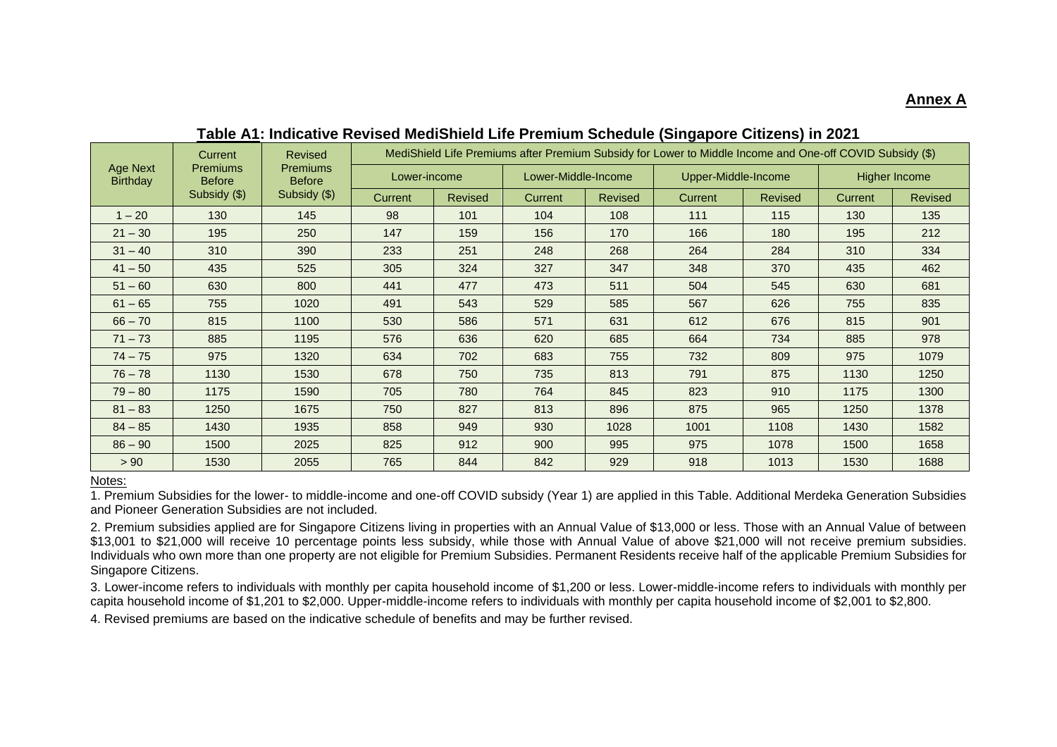# **Annex A**

|                                    | Current<br><b>Premiums</b><br><b>Before</b> | <b>Revised</b><br><b>Premiums</b><br><b>Before</b> | MediShield Life Premiums after Premium Subsidy for Lower to Middle Income and One-off COVID Subsidy (\$) |                |                     |                |                     |                |               |                |
|------------------------------------|---------------------------------------------|----------------------------------------------------|----------------------------------------------------------------------------------------------------------|----------------|---------------------|----------------|---------------------|----------------|---------------|----------------|
| <b>Age Next</b><br><b>Birthday</b> |                                             |                                                    | Lower-income                                                                                             |                | Lower-Middle-Income |                | Upper-Middle-Income |                | Higher Income |                |
|                                    | Subsidy (\$)                                | Subsidy (\$)                                       | Current                                                                                                  | <b>Revised</b> | Current             | <b>Revised</b> | Current             | <b>Revised</b> | Current       | <b>Revised</b> |
| $1 - 20$                           | 130                                         | 145                                                | 98                                                                                                       | 101            | 104                 | 108            | 111                 | 115            | 130           | 135            |
| $21 - 30$                          | 195                                         | 250                                                | 147                                                                                                      | 159            | 156                 | 170            | 166                 | 180            | 195           | 212            |
| $31 - 40$                          | 310                                         | 390                                                | 233                                                                                                      | 251            | 248                 | 268            | 264                 | 284            | 310           | 334            |
| $41 - 50$                          | 435                                         | 525                                                | 305                                                                                                      | 324            | 327                 | 347            | 348                 | 370            | 435           | 462            |
| $51 - 60$                          | 630                                         | 800                                                | 441                                                                                                      | 477            | 473                 | 511            | 504                 | 545            | 630           | 681            |
| $61 - 65$                          | 755                                         | 1020                                               | 491                                                                                                      | 543            | 529                 | 585            | 567                 | 626            | 755           | 835            |
| $66 - 70$                          | 815                                         | 1100                                               | 530                                                                                                      | 586            | 571                 | 631            | 612                 | 676            | 815           | 901            |
| $71 - 73$                          | 885                                         | 1195                                               | 576                                                                                                      | 636            | 620                 | 685            | 664                 | 734            | 885           | 978            |
| $74 - 75$                          | 975                                         | 1320                                               | 634                                                                                                      | 702            | 683                 | 755            | 732                 | 809            | 975           | 1079           |
| $76 - 78$                          | 1130                                        | 1530                                               | 678                                                                                                      | 750            | 735                 | 813            | 791                 | 875            | 1130          | 1250           |
| $79 - 80$                          | 1175                                        | 1590                                               | 705                                                                                                      | 780            | 764                 | 845            | 823                 | 910            | 1175          | 1300           |
| $81 - 83$                          | 1250                                        | 1675                                               | 750                                                                                                      | 827            | 813                 | 896            | 875                 | 965            | 1250          | 1378           |
| $84 - 85$                          | 1430                                        | 1935                                               | 858                                                                                                      | 949            | 930                 | 1028           | 1001                | 1108           | 1430          | 1582           |
| $86 - 90$                          | 1500                                        | 2025                                               | 825                                                                                                      | 912            | 900                 | 995            | 975                 | 1078           | 1500          | 1658           |
| > 90                               | 1530                                        | 2055                                               | 765                                                                                                      | 844            | 842                 | 929            | 918                 | 1013           | 1530          | 1688           |

**Table A1: Indicative Revised MediShield Life Premium Schedule (Singapore Citizens) in 2021**

#### Notes:

1. Premium Subsidies for the lower- to middle-income and one-off COVID subsidy (Year 1) are applied in this Table. Additional Merdeka Generation Subsidies and Pioneer Generation Subsidies are not included.

2. Premium subsidies applied are for Singapore Citizens living in properties with an Annual Value of \$13,000 or less. Those with an Annual Value of between \$13,001 to \$21,000 will receive 10 percentage points less subsidy, while those with Annual Value of above \$21,000 will not receive premium subsidies. Individuals who own more than one property are not eligible for Premium Subsidies. Permanent Residents receive half of the applicable Premium Subsidies for Singapore Citizens.

3. Lower-income refers to individuals with monthly per capita household income of \$1,200 or less. Lower-middle-income refers to individuals with monthly per capita household income of \$1,201 to \$2,000. Upper-middle-income refers to individuals with monthly per capita household income of \$2,001 to \$2,800.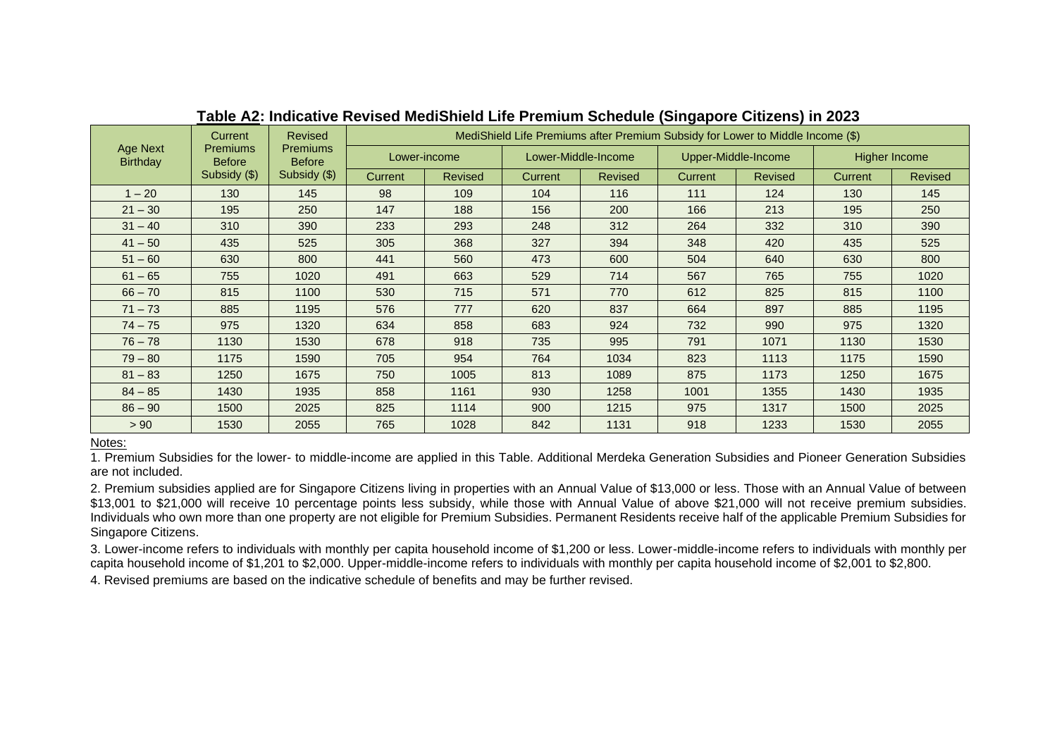|                                    | <b>Current</b><br><b>Premiums</b><br><b>Before</b> | <b>Revised</b><br><b>Premiums</b><br><b>Before</b> | MediShield Life Premiums after Premium Subsidy for Lower to Middle Income (\$) |                |         |                     |                     |                |               |                |
|------------------------------------|----------------------------------------------------|----------------------------------------------------|--------------------------------------------------------------------------------|----------------|---------|---------------------|---------------------|----------------|---------------|----------------|
| <b>Age Next</b><br><b>Birthday</b> |                                                    |                                                    | Lower-income                                                                   |                |         | Lower-Middle-Income | Upper-Middle-Income |                | Higher Income |                |
|                                    | Subsidy (\$)                                       | Subsidy (\$)                                       | <b>Current</b>                                                                 | <b>Revised</b> | Current | <b>Revised</b>      | Current             | <b>Revised</b> | Current       | <b>Revised</b> |
| $1 - 20$                           | 130                                                | 145                                                | 98                                                                             | 109            | 104     | 116                 | 111                 | 124            | 130           | 145            |
| $21 - 30$                          | 195                                                | 250                                                | 147                                                                            | 188            | 156     | 200                 | 166                 | 213            | 195           | 250            |
| $31 - 40$                          | 310                                                | 390                                                | 233                                                                            | 293            | 248     | 312                 | 264                 | 332            | 310           | 390            |
| $41 - 50$                          | 435                                                | 525                                                | 305                                                                            | 368            | 327     | 394                 | 348                 | 420            | 435           | 525            |
| $51 - 60$                          | 630                                                | 800                                                | 441                                                                            | 560            | 473     | 600                 | 504                 | 640            | 630           | 800            |
| $61 - 65$                          | 755                                                | 1020                                               | 491                                                                            | 663            | 529     | 714                 | 567                 | 765            | 755           | 1020           |
| $66 - 70$                          | 815                                                | 1100                                               | 530                                                                            | 715            | 571     | 770                 | 612                 | 825            | 815           | 1100           |
| $71 - 73$                          | 885                                                | 1195                                               | 576                                                                            | 777            | 620     | 837                 | 664                 | 897            | 885           | 1195           |
| $74 - 75$                          | 975                                                | 1320                                               | 634                                                                            | 858            | 683     | 924                 | 732                 | 990            | 975           | 1320           |
| $76 - 78$                          | 1130                                               | 1530                                               | 678                                                                            | 918            | 735     | 995                 | 791                 | 1071           | 1130          | 1530           |
| $79 - 80$                          | 1175                                               | 1590                                               | 705                                                                            | 954            | 764     | 1034                | 823                 | 1113           | 1175          | 1590           |
| $81 - 83$                          | 1250                                               | 1675                                               | 750                                                                            | 1005           | 813     | 1089                | 875                 | 1173           | 1250          | 1675           |
| $84 - 85$                          | 1430                                               | 1935                                               | 858                                                                            | 1161           | 930     | 1258                | 1001                | 1355           | 1430          | 1935           |
| $86 - 90$                          | 1500                                               | 2025                                               | 825                                                                            | 1114           | 900     | 1215                | 975                 | 1317           | 1500          | 2025           |
| > 90                               | 1530                                               | 2055                                               | 765                                                                            | 1028           | 842     | 1131                | 918                 | 1233           | 1530          | 2055           |

# **Table A2: Indicative Revised MediShield Life Premium Schedule (Singapore Citizens) in 2023**

Notes:

1. Premium Subsidies for the lower- to middle-income are applied in this Table. Additional Merdeka Generation Subsidies and Pioneer Generation Subsidies are not included.

2. Premium subsidies applied are for Singapore Citizens living in properties with an Annual Value of \$13,000 or less. Those with an Annual Value of between \$13,001 to \$21,000 will receive 10 percentage points less subsidy, while those with Annual Value of above \$21,000 will not receive premium subsidies. Individuals who own more than one property are not eligible for Premium Subsidies. Permanent Residents receive half of the applicable Premium Subsidies for Singapore Citizens.

3. Lower-income refers to individuals with monthly per capita household income of \$1,200 or less. Lower-middle-income refers to individuals with monthly per capita household income of \$1,201 to \$2,000. Upper-middle-income refers to individuals with monthly per capita household income of \$2,001 to \$2,800.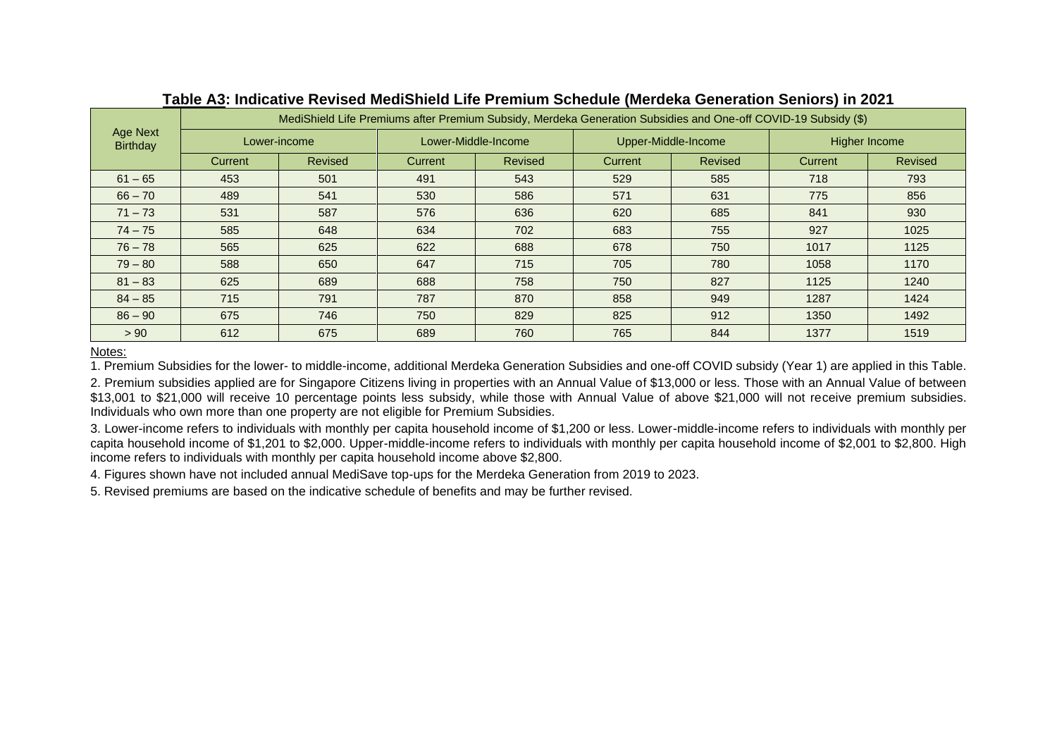| Age Next<br><b>Birthday</b> | MediShield Life Premiums after Premium Subsidy, Merdeka Generation Subsidies and One-off COVID-19 Subsidy (\$) |                |         |                     |         |                     |               |                |  |
|-----------------------------|----------------------------------------------------------------------------------------------------------------|----------------|---------|---------------------|---------|---------------------|---------------|----------------|--|
|                             | Lower-income                                                                                                   |                |         | Lower-Middle-Income |         | Upper-Middle-Income | Higher Income |                |  |
|                             | <b>Current</b>                                                                                                 | <b>Revised</b> | Current | <b>Revised</b>      | Current | Revised             | Current       | <b>Revised</b> |  |
| $61 - 65$                   | 453                                                                                                            | 501            | 491     | 543                 | 529     | 585                 | 718           | 793            |  |
| $66 - 70$                   | 489                                                                                                            | 541            | 530     | 586                 | 571     | 631                 | 775           | 856            |  |
| $71 - 73$                   | 531                                                                                                            | 587            | 576     | 636                 | 620     | 685                 | 841           | 930            |  |
| $74 - 75$                   | 585                                                                                                            | 648            | 634     | 702                 | 683     | 755                 | 927           | 1025           |  |
| $76 - 78$                   | 565                                                                                                            | 625            | 622     | 688                 | 678     | 750                 | 1017          | 1125           |  |
| $79 - 80$                   | 588                                                                                                            | 650            | 647     | 715                 | 705     | 780                 | 1058          | 1170           |  |
| $81 - 83$                   | 625                                                                                                            | 689            | 688     | 758                 | 750     | 827                 | 1125          | 1240           |  |
| $84 - 85$                   | 715                                                                                                            | 791            | 787     | 870                 | 858     | 949                 | 1287          | 1424           |  |
| $86 - 90$                   | 675                                                                                                            | 746            | 750     | 829                 | 825     | 912                 | 1350          | 1492           |  |
| > 90                        | 612                                                                                                            | 675            | 689     | 760                 | 765     | 844                 | 1377          | 1519           |  |

### **Table A3: Indicative Revised MediShield Life Premium Schedule (Merdeka Generation Seniors) in 2021**

#### Notes:

1. Premium Subsidies for the lower- to middle-income, additional Merdeka Generation Subsidies and one-off COVID subsidy (Year 1) are applied in this Table.

2. Premium subsidies applied are for Singapore Citizens living in properties with an Annual Value of \$13,000 or less. Those with an Annual Value of between \$13,001 to \$21,000 will receive 10 percentage points less subsidy, while those with Annual Value of above \$21,000 will not receive premium subsidies. Individuals who own more than one property are not eligible for Premium Subsidies.

3. Lower-income refers to individuals with monthly per capita household income of \$1,200 or less. Lower-middle-income refers to individuals with monthly per capita household income of \$1,201 to \$2,000. Upper-middle-income refers to individuals with monthly per capita household income of \$2,001 to \$2,800. High income refers to individuals with monthly per capita household income above \$2,800.

4. Figures shown have not included annual MediSave top-ups for the Merdeka Generation from 2019 to 2023.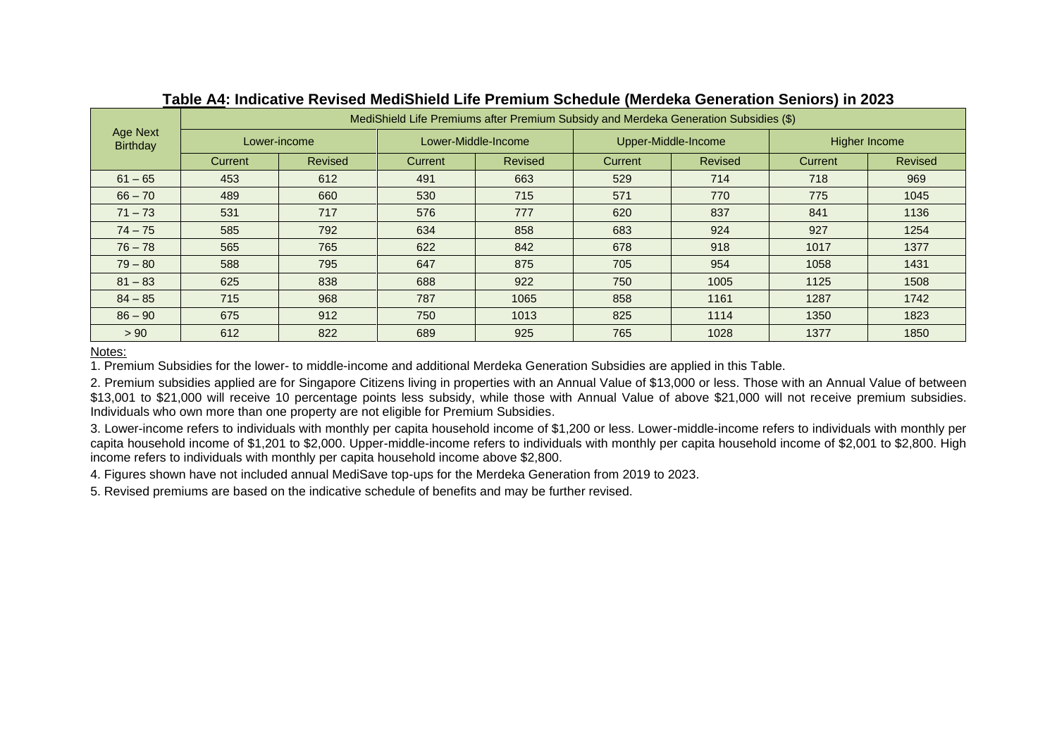| Age Next<br><b>Birthday</b> | MediShield Life Premiums after Premium Subsidy and Merdeka Generation Subsidies (\$) |                |                |                     |         |                     |               |                |  |
|-----------------------------|--------------------------------------------------------------------------------------|----------------|----------------|---------------------|---------|---------------------|---------------|----------------|--|
|                             | Lower-income                                                                         |                |                | Lower-Middle-Income |         | Upper-Middle-Income | Higher Income |                |  |
|                             | <b>Current</b>                                                                       | <b>Revised</b> | <b>Current</b> | <b>Revised</b>      | Current | Revised             | Current       | <b>Revised</b> |  |
| $61 - 65$                   | 453                                                                                  | 612            | 491            | 663                 | 529     | 714                 | 718           | 969            |  |
| $66 - 70$                   | 489                                                                                  | 660            | 530            | 715                 | 571     | 770                 | 775           | 1045           |  |
| $71 - 73$                   | 531                                                                                  | 717            | 576            | 777                 | 620     | 837                 | 841           | 1136           |  |
| $74 - 75$                   | 585                                                                                  | 792            | 634            | 858                 | 683     | 924                 | 927           | 1254           |  |
| $76 - 78$                   | 565                                                                                  | 765            | 622            | 842                 | 678     | 918                 | 1017          | 1377           |  |
| $79 - 80$                   | 588                                                                                  | 795            | 647            | 875                 | 705     | 954                 | 1058          | 1431           |  |
| $81 - 83$                   | 625                                                                                  | 838            | 688            | 922                 | 750     | 1005                | 1125          | 1508           |  |
| $84 - 85$                   | 715                                                                                  | 968            | 787            | 1065                | 858     | 1161                | 1287          | 1742           |  |
| $86 - 90$                   | 675                                                                                  | 912            | 750            | 1013                | 825     | 1114                | 1350          | 1823           |  |
| > 90                        | 612                                                                                  | 822            | 689            | 925                 | 765     | 1028                | 1377          | 1850           |  |

### **Table A4: Indicative Revised MediShield Life Premium Schedule (Merdeka Generation Seniors) in 2023**

Notes:

1. Premium Subsidies for the lower- to middle-income and additional Merdeka Generation Subsidies are applied in this Table.

2. Premium subsidies applied are for Singapore Citizens living in properties with an Annual Value of \$13,000 or less. Those with an Annual Value of between \$13,001 to \$21,000 will receive 10 percentage points less subsidy, while those with Annual Value of above \$21,000 will not receive premium subsidies. Individuals who own more than one property are not eligible for Premium Subsidies.

3. Lower-income refers to individuals with monthly per capita household income of \$1,200 or less. Lower-middle-income refers to individuals with monthly per capita household income of \$1,201 to \$2,000. Upper-middle-income refers to individuals with monthly per capita household income of \$2,001 to \$2,800. High income refers to individuals with monthly per capita household income above \$2,800.

4. Figures shown have not included annual MediSave top-ups for the Merdeka Generation from 2019 to 2023.